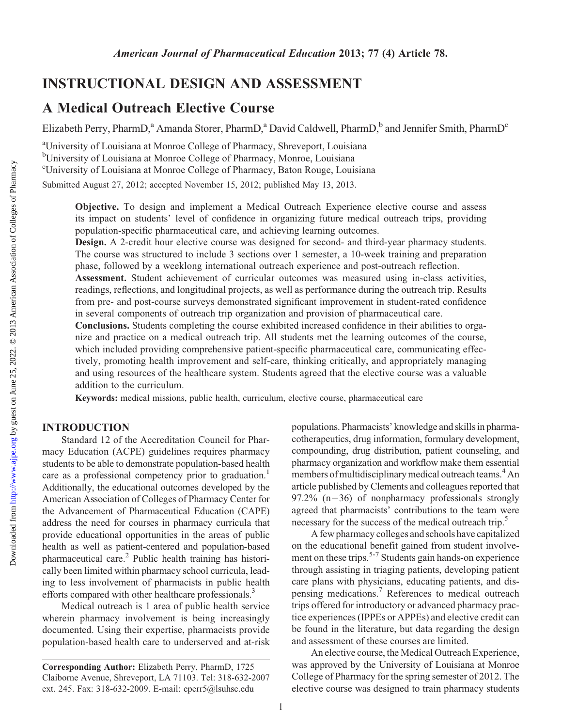# INSTRUCTIONAL DESIGN AND ASSESSMENT

# A Medical Outreach Elective Course

Elizabeth Perry, PharmD,<sup>a</sup> Amanda Storer, PharmD,<sup>a</sup> David Caldwell, PharmD,<sup>b</sup> and Jennifer Smith, PharmD<sup>c</sup>

<sup>a</sup>University of Louisiana at Monroe College of Pharmacy, Shreveport, Louisiana

<sup>b</sup>University of Louisiana at Monroe College of Pharmacy, Monroe, Louisiana

c University of Louisiana at Monroe College of Pharmacy, Baton Rouge, Louisiana

Submitted August 27, 2012; accepted November 15, 2012; published May 13, 2013.

Objective. To design and implement a Medical Outreach Experience elective course and assess its impact on students' level of confidence in organizing future medical outreach trips, providing population-specific pharmaceutical care, and achieving learning outcomes.

Design. A 2-credit hour elective course was designed for second- and third-year pharmacy students. The course was structured to include 3 sections over 1 semester, a 10-week training and preparation phase, followed by a weeklong international outreach experience and post-outreach reflection.

Assessment. Student achievement of curricular outcomes was measured using in-class activities, readings, reflections, and longitudinal projects, as well as performance during the outreach trip. Results from pre- and post-course surveys demonstrated significant improvement in student-rated confidence in several components of outreach trip organization and provision of pharmaceutical care.

Conclusions. Students completing the course exhibited increased confidence in their abilities to organize and practice on a medical outreach trip. All students met the learning outcomes of the course, which included providing comprehensive patient-specific pharmaceutical care, communicating effectively, promoting health improvement and self-care, thinking critically, and appropriately managing and using resources of the healthcare system. Students agreed that the elective course was a valuable addition to the curriculum.

Keywords: medical missions, public health, curriculum, elective course, pharmaceutical care

### INTRODUCTION

Standard 12 of the Accreditation Council for Pharmacy Education (ACPE) guidelines requires pharmacy students to be able to demonstrate population-based health care as a professional competency prior to graduation.<sup>1</sup> Additionally, the educational outcomes developed by the American Association of Colleges of Pharmacy Center for the Advancement of Pharmaceutical Education (CAPE) address the need for courses in pharmacy curricula that provide educational opportunities in the areas of public health as well as patient-centered and population-based pharmaceutical care.2 Public health training has historically been limited within pharmacy school curricula, leading to less involvement of pharmacists in public health efforts compared with other healthcare professionals.<sup>3</sup>

Medical outreach is 1 area of public health service wherein pharmacy involvement is being increasingly documented. Using their expertise, pharmacists provide population-based health care to underserved and at-risk

populations. Pharmacists' knowledge and skills in pharmacotherapeutics, drug information, formulary development, compounding, drug distribution, patient counseling, and pharmacy organization and workflow make them essential members of multidisciplinary medical outreach teams.<sup>4</sup> An article published by Clements and colleagues reported that  $97.2\%$  (n=36) of nonpharmacy professionals strongly agreed that pharmacists' contributions to the team were necessary for the success of the medical outreach trip.<sup>5</sup>

A few pharmacy colleges and schools have capitalized on the educational benefit gained from student involvement on these trips.<sup>5-7</sup> Students gain hands-on experience through assisting in triaging patients, developing patient care plans with physicians, educating patients, and dispensing medications.7 References to medical outreach trips offered for introductory or advanced pharmacy practice experiences (IPPEs or APPEs) and elective credit can be found in the literature, but data regarding the design and assessment of these courses are limited.

An elective course, the Medical Outreach Experience, was approved by the University of Louisiana at Monroe College of Pharmacy for the spring semester of 2012. The elective course was designed to train pharmacy students

Corresponding Author: Elizabeth Perry, PharmD, 1725 Claiborne Avenue, Shreveport, LA 71103. Tel: 318-632-2007 ext. 245. Fax: 318-632-2009. E-mail: eperr5@lsuhsc.edu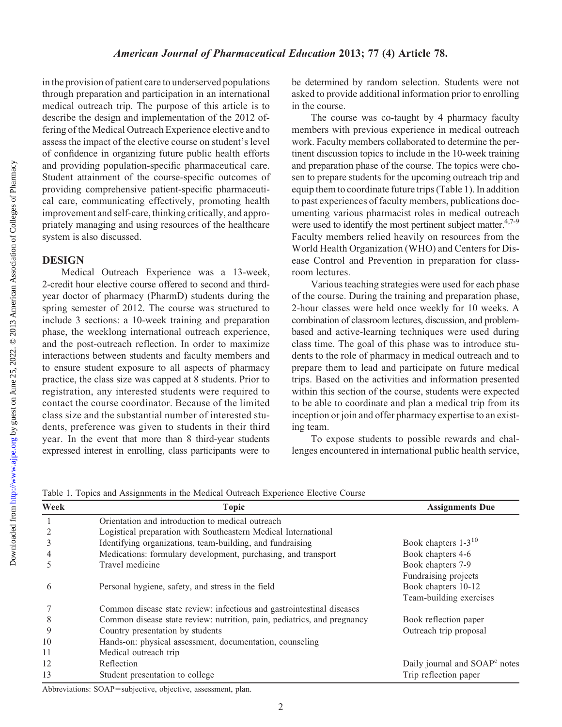in the provision of patient care to underserved populations through preparation and participation in an international medical outreach trip. The purpose of this article is to describe the design and implementation of the 2012 offering of the Medical Outreach Experience elective and to assess the impact of the elective course on student's level of confidence in organizing future public health efforts and providing population-specific pharmaceutical care. Student attainment of the course-specific outcomes of providing comprehensive patient-specific pharmaceutical care, communicating effectively, promoting health improvement and self-care, thinking critically, and appropriately managing and using resources of the healthcare system is also discussed.

## DESIGN

Medical Outreach Experience was a 13-week, 2-credit hour elective course offered to second and thirdyear doctor of pharmacy (PharmD) students during the spring semester of 2012. The course was structured to include 3 sections: a 10-week training and preparation phase, the weeklong international outreach experience, and the post-outreach reflection. In order to maximize interactions between students and faculty members and to ensure student exposure to all aspects of pharmacy practice, the class size was capped at 8 students. Prior to registration, any interested students were required to contact the course coordinator. Because of the limited class size and the substantial number of interested students, preference was given to students in their third year. In the event that more than 8 third-year students expressed interest in enrolling, class participants were to

be determined by random selection. Students were not asked to provide additional information prior to enrolling in the course.

The course was co-taught by 4 pharmacy faculty members with previous experience in medical outreach work. Faculty members collaborated to determine the pertinent discussion topics to include in the 10-week training and preparation phase of the course. The topics were chosen to prepare students for the upcoming outreach trip and equip them to coordinate future trips (Table 1). In addition to past experiences of faculty members, publications documenting various pharmacist roles in medical outreach were used to identify the most pertinent subject matter.  $4,7-9$ Faculty members relied heavily on resources from the World Health Organization (WHO) and Centers for Disease Control and Prevention in preparation for classroom lectures.

Various teaching strategies were used for each phase of the course. During the training and preparation phase, 2-hour classes were held once weekly for 10 weeks. A combination of classroom lectures, discussion, and problembased and active-learning techniques were used during class time. The goal of this phase was to introduce students to the role of pharmacy in medical outreach and to prepare them to lead and participate on future medical trips. Based on the activities and information presented within this section of the course, students were expected to be able to coordinate and plan a medical trip from its inception or join and offer pharmacy expertise to an existing team.

To expose students to possible rewards and challenges encountered in international public health service,

Table 1. Topics and Assignments in the Medical Outreach Experience Elective Course

| Week           | <b>Topic</b>                                                            | <b>Assignments Due</b>                    |
|----------------|-------------------------------------------------------------------------|-------------------------------------------|
|                | Orientation and introduction to medical outreach                        |                                           |
| 2              | Logistical preparation with Southeastern Medical International          |                                           |
| 3              | Identifying organizations, team-building, and fundraising               | Book chapters $1-3^{10}$                  |
| $\overline{4}$ | Medications: formulary development, purchasing, and transport           | Book chapters 4-6                         |
|                | Travel medicine                                                         | Book chapters 7-9                         |
|                |                                                                         | Fundraising projects                      |
| -6             | Personal hygiene, safety, and stress in the field                       | Book chapters 10-12                       |
|                |                                                                         | Team-building exercises                   |
|                | Common disease state review: infectious and gastrointestinal diseases   |                                           |
| 8              | Common disease state review: nutrition, pain, pediatrics, and pregnancy | Book reflection paper                     |
| 9              | Country presentation by students                                        | Outreach trip proposal                    |
| 10             | Hands-on: physical assessment, documentation, counseling                |                                           |
| 11             | Medical outreach trip                                                   |                                           |
| 12             | Reflection                                                              | Daily journal and SOAP <sup>c</sup> notes |
| 13             | Student presentation to college                                         | Trip reflection paper                     |

Abbreviations: SOAP=subjective, objective, assessment, plan.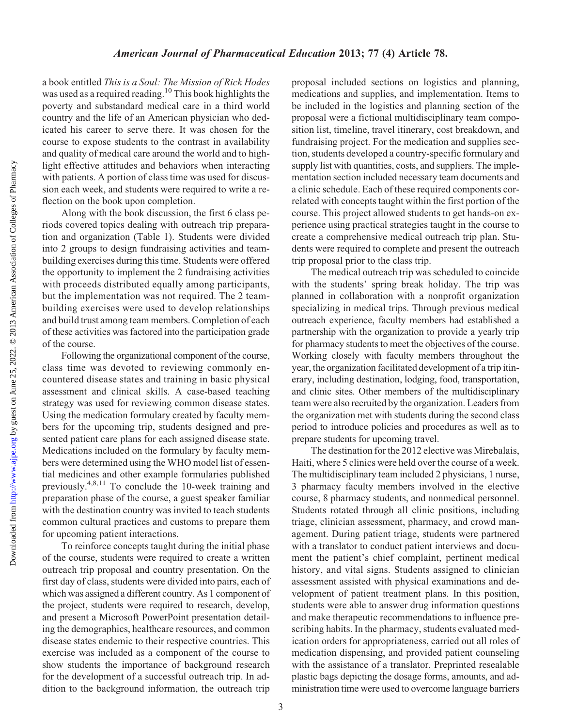Downloaded from

a book entitled This is a Soul: The Mission of Rick Hodes was used as a required reading.<sup>10</sup> This book highlights the poverty and substandard medical care in a third world country and the life of an American physician who dedicated his career to serve there. It was chosen for the course to expose students to the contrast in availability and quality of medical care around the world and to highlight effective attitudes and behaviors when interacting with patients. A portion of class time was used for discussion each week, and students were required to write a reflection on the book upon completion.

Along with the book discussion, the first 6 class periods covered topics dealing with outreach trip preparation and organization (Table 1). Students were divided into 2 groups to design fundraising activities and teambuilding exercises during this time. Students were offered the opportunity to implement the 2 fundraising activities with proceeds distributed equally among participants, but the implementation was not required. The 2 teambuilding exercises were used to develop relationships and build trust among team members. Completion of each of these activities was factored into the participation grade of the course.

Following the organizational component of the course, class time was devoted to reviewing commonly encountered disease states and training in basic physical assessment and clinical skills. A case-based teaching strategy was used for reviewing common disease states. Using the medication formulary created by faculty members for the upcoming trip, students designed and presented patient care plans for each assigned disease state. Medications included on the formulary by faculty members were determined using the WHO model list of essential medicines and other example formularies published previously.4,8,11 To conclude the 10-week training and preparation phase of the course, a guest speaker familiar with the destination country was invited to teach students common cultural practices and customs to prepare them for upcoming patient interactions.

To reinforce concepts taught during the initial phase of the course, students were required to create a written outreach trip proposal and country presentation. On the first day of class, students were divided into pairs, each of which was assigned a different country. As 1 component of the project, students were required to research, develop, and present a Microsoft PowerPoint presentation detailing the demographics, healthcare resources, and common disease states endemic to their respective countries. This exercise was included as a component of the course to show students the importance of background research for the development of a successful outreach trip. In addition to the background information, the outreach trip

proposal included sections on logistics and planning, medications and supplies, and implementation. Items to be included in the logistics and planning section of the proposal were a fictional multidisciplinary team composition list, timeline, travel itinerary, cost breakdown, and fundraising project. For the medication and supplies section, students developed a country-specific formulary and supply list with quantities, costs, and suppliers. The implementation section included necessary team documents and a clinic schedule. Each of these required components correlated with concepts taught within the first portion of the course. This project allowed students to get hands-on experience using practical strategies taught in the course to create a comprehensive medical outreach trip plan. Students were required to complete and present the outreach trip proposal prior to the class trip.

The medical outreach trip was scheduled to coincide with the students' spring break holiday. The trip was planned in collaboration with a nonprofit organization specializing in medical trips. Through previous medical outreach experience, faculty members had established a partnership with the organization to provide a yearly trip for pharmacy students to meet the objectives of the course. Working closely with faculty members throughout the year, the organization facilitated development of a trip itinerary, including destination, lodging, food, transportation, and clinic sites. Other members of the multidisciplinary team were also recruited by the organization. Leaders from the organization met with students during the second class period to introduce policies and procedures as well as to prepare students for upcoming travel.

The destination for the 2012 elective was Mirebalais, Haiti, where 5 clinics were held over the course of a week. The multidisciplinary team included 2 physicians, 1 nurse, 3 pharmacy faculty members involved in the elective course, 8 pharmacy students, and nonmedical personnel. Students rotated through all clinic positions, including triage, clinician assessment, pharmacy, and crowd management. During patient triage, students were partnered with a translator to conduct patient interviews and document the patient's chief complaint, pertinent medical history, and vital signs. Students assigned to clinician assessment assisted with physical examinations and development of patient treatment plans. In this position, students were able to answer drug information questions and make therapeutic recommendations to influence prescribing habits. In the pharmacy, students evaluated medication orders for appropriateness, carried out all roles of medication dispensing, and provided patient counseling with the assistance of a translator. Preprinted resealable plastic bags depicting the dosage forms, amounts, and administration time were used to overcome language barriers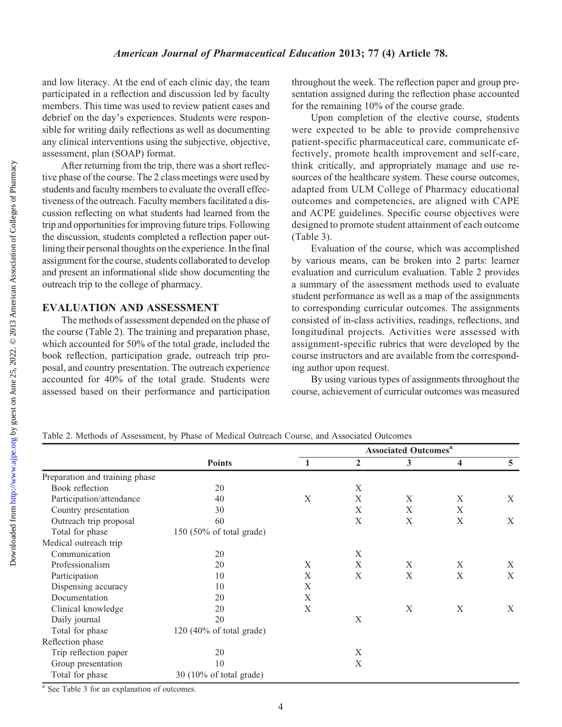and low literacy. At the end of each clinic day, the team participated in a reflection and discussion led by faculty members. This time was used to review patient cases and debrief on the day's experiences. Students were responsible for writing daily reflections as well as documenting any clinical interventions using the subjective, objective, assessment, plan (SOAP) format.

After returning from the trip, there was a short reflective phase of the course. The 2 class meetings were used by students and faculty members to evaluate the overall effectiveness of the outreach. Faculty members facilitated a discussion reflecting on what students had learned from the trip and opportunities for improving future trips. Following the discussion, students completed a reflection paper outlining their personal thoughts on the experience. In the final assignment for the course, students collaborated to develop and present an informational slide show documenting the outreach trip to the college of pharmacy.

## EVALUATION AND ASSESSMENT

The methods of assessment depended on the phase of the course (Table 2). The training and preparation phase, which accounted for 50% of the total grade, included the book reflection, participation grade, outreach trip proposal, and country presentation. The outreach experience accounted for 40% of the total grade. Students were assessed based on their performance and participation

throughout the week. The reflection paper and group presentation assigned during the reflection phase accounted for the remaining 10% of the course grade.

Upon completion of the elective course, students were expected to be able to provide comprehensive patient-specific pharmaceutical care, communicate effectively, promote health improvement and self-care, think critically, and appropriately manage and use resources of the healthcare system. These course outcomes, adapted from ULM College of Pharmacy educational outcomes and competencies, are aligned with CAPE and ACPE guidelines. Specific course objectives were designed to promote student attainment of each outcome (Table 3).

Evaluation of the course, which was accomplished by various means, can be broken into 2 parts: learner evaluation and curriculum evaluation. Table 2 provides a summary of the assessment methods used to evaluate student performance as well as a map of the assignments to corresponding curricular outcomes. The assignments consisted of in-class activities, readings, reflections, and longitudinal projects. Activities were assessed with assignment-specific rubrics that were developed by the course instructors and are available from the corresponding author upon request.

By using various types of assignments throughout the course, achievement of curricular outcomes was measured

Table 2. Methods of Assessment, by Phase of Medical Outreach Course, and Associated Outcomes

|                                |                            | <b>Associated Outcomes<sup>a</sup></b> |                           |   |                           |   |
|--------------------------------|----------------------------|----------------------------------------|---------------------------|---|---------------------------|---|
|                                | <b>Points</b>              | $\mathbf{1}$                           | $\overline{2}$            | 3 | $\overline{\mathbf{4}}$   | 5 |
| Preparation and training phase |                            |                                        |                           |   |                           |   |
| Book reflection                | 20                         |                                        | X                         |   |                           |   |
| Participation/attendance       | 40                         | X                                      | X                         | X | X                         | X |
| Country presentation           | 30                         |                                        | X                         | X | X                         |   |
| Outreach trip proposal         | 60                         |                                        | X                         | X | X                         | X |
| Total for phase                | 150 (50% of total grade)   |                                        |                           |   |                           |   |
| Medical outreach trip          |                            |                                        |                           |   |                           |   |
| Communication                  | 20                         |                                        | X                         |   |                           |   |
| Professionalism                | 20                         | X                                      | X                         | X | X                         | X |
| Participation                  | 10                         | X                                      | X                         | X | $\boldsymbol{\mathrm{X}}$ | X |
| Dispensing accuracy            | 10                         | X                                      |                           |   |                           |   |
| Documentation                  | 20                         | X                                      |                           |   |                           |   |
| Clinical knowledge             | 20                         | X                                      |                           | X | X                         | X |
| Daily journal                  | 20                         |                                        | X                         |   |                           |   |
| Total for phase                | $120$ (40% of total grade) |                                        |                           |   |                           |   |
| Reflection phase               |                            |                                        |                           |   |                           |   |
| Trip reflection paper          | 20                         |                                        | $\boldsymbol{\mathrm{X}}$ |   |                           |   |
| Group presentation             | 10                         |                                        | X                         |   |                           |   |
| Total for phase                | 30 (10% of total grade)    |                                        |                           |   |                           |   |

<sup>a</sup> See Table 3 for an explanation of outcomes.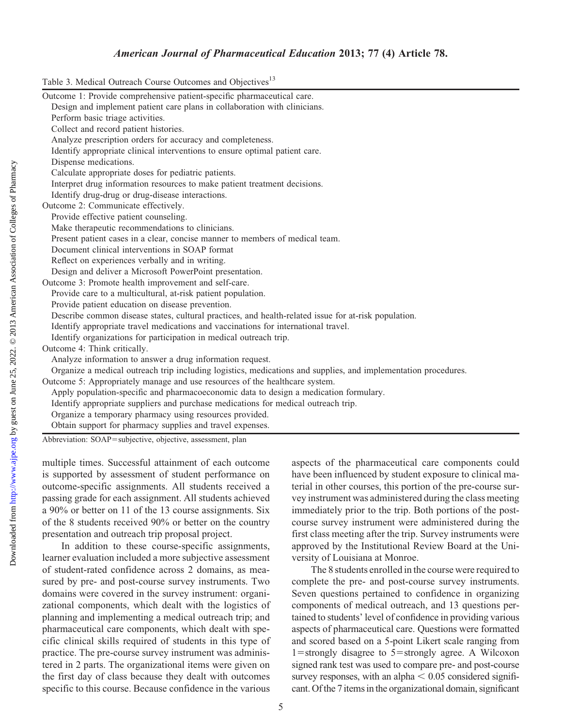Table 3. Medical Outreach Course Outcomes and Objectives<sup>13</sup>

| Outcome 1: Provide comprehensive patient-specific pharmaceutical care.                                         |
|----------------------------------------------------------------------------------------------------------------|
| Design and implement patient care plans in collaboration with clinicians.                                      |
| Perform basic triage activities.                                                                               |
| Collect and record patient histories.                                                                          |
| Analyze prescription orders for accuracy and completeness.                                                     |
| Identify appropriate clinical interventions to ensure optimal patient care.                                    |
| Dispense medications.                                                                                          |
| Calculate appropriate doses for pediatric patients.                                                            |
| Interpret drug information resources to make patient treatment decisions.                                      |
| Identify drug-drug or drug-disease interactions.                                                               |
| Outcome 2: Communicate effectively.                                                                            |
| Provide effective patient counseling.                                                                          |
| Make therapeutic recommendations to clinicians.                                                                |
| Present patient cases in a clear, concise manner to members of medical team.                                   |
| Document clinical interventions in SOAP format                                                                 |
| Reflect on experiences verbally and in writing.                                                                |
| Design and deliver a Microsoft PowerPoint presentation.                                                        |
| Outcome 3: Promote health improvement and self-care.                                                           |
| Provide care to a multicultural, at-risk patient population.                                                   |
| Provide patient education on disease prevention.                                                               |
| Describe common disease states, cultural practices, and health-related issue for at-risk population.           |
| Identify appropriate travel medications and vaccinations for international travel.                             |
| Identify organizations for participation in medical outreach trip.                                             |
| Outcome 4: Think critically.                                                                                   |
| Analyze information to answer a drug information request.                                                      |
| Organize a medical outreach trip including logistics, medications and supplies, and implementation procedures. |
| Outcome 5: Appropriately manage and use resources of the healthcare system.                                    |
| Apply population-specific and pharmacoeconomic data to design a medication formulary.                          |
| Identify appropriate suppliers and purchase medications for medical outreach trip.                             |
| Organize a temporary pharmacy using resources provided.                                                        |
| Obtain support for pharmacy supplies and travel expenses.                                                      |
| Abbreviation: SOAP=subjective, objective, assessment, plan                                                     |

multiple times. Successful attainment of each outcome is supported by assessment of student performance on outcome-specific assignments. All students received a passing grade for each assignment. All students achieved a 90% or better on 11 of the 13 course assignments. Six of the 8 students received 90% or better on the country presentation and outreach trip proposal project.

In addition to these course-specific assignments, learner evaluation included a more subjective assessment of student-rated confidence across 2 domains, as measured by pre- and post-course survey instruments. Two domains were covered in the survey instrument: organizational components, which dealt with the logistics of planning and implementing a medical outreach trip; and pharmaceutical care components, which dealt with specific clinical skills required of students in this type of practice. The pre-course survey instrument was administered in 2 parts. The organizational items were given on the first day of class because they dealt with outcomes specific to this course. Because confidence in the various

aspects of the pharmaceutical care components could have been influenced by student exposure to clinical material in other courses, this portion of the pre-course survey instrument was administered during the class meeting immediately prior to the trip. Both portions of the postcourse survey instrument were administered during the first class meeting after the trip. Survey instruments were approved by the Institutional Review Board at the University of Louisiana at Monroe.

The 8 students enrolled in the course were required to complete the pre- and post-course survey instruments. Seven questions pertained to confidence in organizing components of medical outreach, and 13 questions pertained to students' level of confidence in providing various aspects of pharmaceutical care. Questions were formatted and scored based on a 5-point Likert scale ranging from 1=strongly disagree to  $5$ =strongly agree. A Wilcoxon signed rank test was used to compare pre- and post-course survey responses, with an alpha  $< 0.05$  considered significant. Of the 7 items in the organizational domain, significant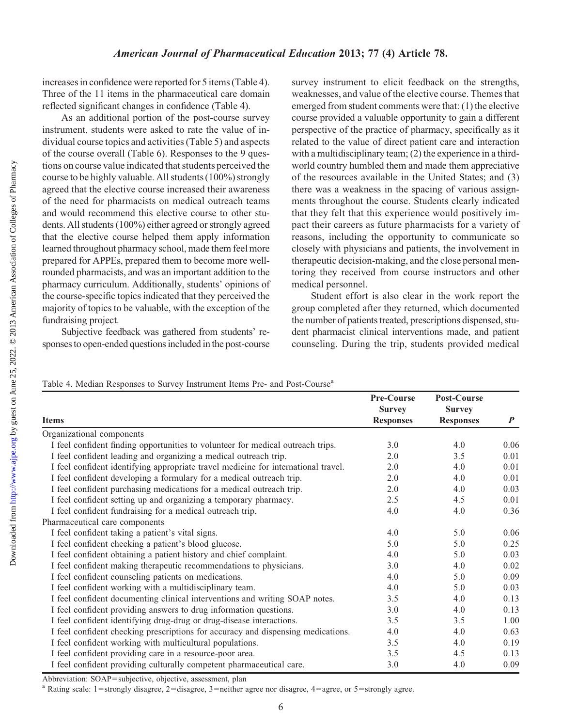Downloaded from

increases in confidence were reported for 5 items (Table 4). Three of the 11 items in the pharmaceutical care domain reflected significant changes in confidence (Table 4).

As an additional portion of the post-course survey instrument, students were asked to rate the value of individual course topics and activities (Table 5) and aspects of the course overall (Table 6). Responses to the 9 questions on course value indicated that students perceived the course to be highly valuable. All students (100%) strongly agreed that the elective course increased their awareness of the need for pharmacists on medical outreach teams and would recommend this elective course to other students. All students (100%) either agreed or strongly agreed that the elective course helped them apply information learned throughout pharmacy school, made them feel more prepared for APPEs, prepared them to become more wellrounded pharmacists, and was an important addition to the pharmacy curriculum. Additionally, students' opinions of the course-specific topics indicated that they perceived the majority of topics to be valuable, with the exception of the fundraising project.

Subjective feedback was gathered from students' responses to open-ended questions included in the post-course survey instrument to elicit feedback on the strengths, weaknesses, and value of the elective course. Themes that emerged from student comments were that: (1) the elective course provided a valuable opportunity to gain a different perspective of the practice of pharmacy, specifically as it related to the value of direct patient care and interaction with a multidisciplinary team; (2) the experience in a thirdworld country humbled them and made them appreciative of the resources available in the United States; and (3) there was a weakness in the spacing of various assignments throughout the course. Students clearly indicated that they felt that this experience would positively impact their careers as future pharmacists for a variety of reasons, including the opportunity to communicate so closely with physicians and patients, the involvement in therapeutic decision-making, and the close personal mentoring they received from course instructors and other medical personnel.

Student effort is also clear in the work report the group completed after they returned, which documented the number of patients treated, prescriptions dispensed, student pharmacist clinical interventions made, and patient counseling. During the trip, students provided medical

Table 4. Median Responses to Survey Instrument Items Pre- and Post-Course<sup>a</sup>

|                                                                                    | <b>Pre-Course</b> | <b>Post-Course</b> |                  |
|------------------------------------------------------------------------------------|-------------------|--------------------|------------------|
|                                                                                    | <b>Survey</b>     | <b>Survey</b>      |                  |
| <b>Items</b>                                                                       | <b>Responses</b>  | <b>Responses</b>   | $\boldsymbol{P}$ |
| Organizational components                                                          |                   |                    |                  |
| I feel confident finding opportunities to volunteer for medical outreach trips.    | 3.0               | 4.0                | 0.06             |
| I feel confident leading and organizing a medical outreach trip.                   | 2.0               | 3.5                | 0.01             |
| I feel confident identifying appropriate travel medicine for international travel. | 2.0               | 4.0                | 0.01             |
| I feel confident developing a formulary for a medical outreach trip.               | 2.0               | 4.0                | 0.01             |
| I feel confident purchasing medications for a medical outreach trip.               | 2.0               | 4.0                | 0.03             |
| I feel confident setting up and organizing a temporary pharmacy.                   | 2.5               | 4.5                | 0.01             |
| I feel confident fundraising for a medical outreach trip.                          | 4.0               | 4.0                | 0.36             |
| Pharmaceutical care components                                                     |                   |                    |                  |
| I feel confident taking a patient's vital signs.                                   | 4.0               | 5.0                | 0.06             |
| I feel confident checking a patient's blood glucose.                               | 5.0               | 5.0                | 0.25             |
| I feel confident obtaining a patient history and chief complaint.                  | 4.0               | 5.0                | 0.03             |
| I feel confident making therapeutic recommendations to physicians.                 | 3.0               | 4.0                | 0.02             |
| I feel confident counseling patients on medications.                               | 4.0               | 5.0                | 0.09             |
| I feel confident working with a multidisciplinary team.                            | 4.0               | 5.0                | 0.03             |
| I feel confident documenting clinical interventions and writing SOAP notes.        | 3.5               | 4.0                | 0.13             |
| I feel confident providing answers to drug information questions.                  | 3.0               | 4.0                | 0.13             |
| I feel confident identifying drug-drug or drug-disease interactions.               | 3.5               | 3.5                | 1.00             |
| I feel confident checking prescriptions for accuracy and dispensing medications.   | 4.0               | 4.0                | 0.63             |
| I feel confident working with multicultural populations.                           | 3.5               | 4.0                | 0.19             |
| I feel confident providing care in a resource-poor area.                           | 3.5               | 4.5                | 0.13             |
| I feel confident providing culturally competent pharmaceutical care.               | 3.0               | 4.0                | 0.09             |

Abbreviation: SOAP=subjective, objective, assessment, plan a Rating scale: 1=strongly agree.  $a^2$  Rating scale: 1=strongly disagree, 2=disagree, 3=neither agree nor disagree, 4=agree, or 5=strongly agree.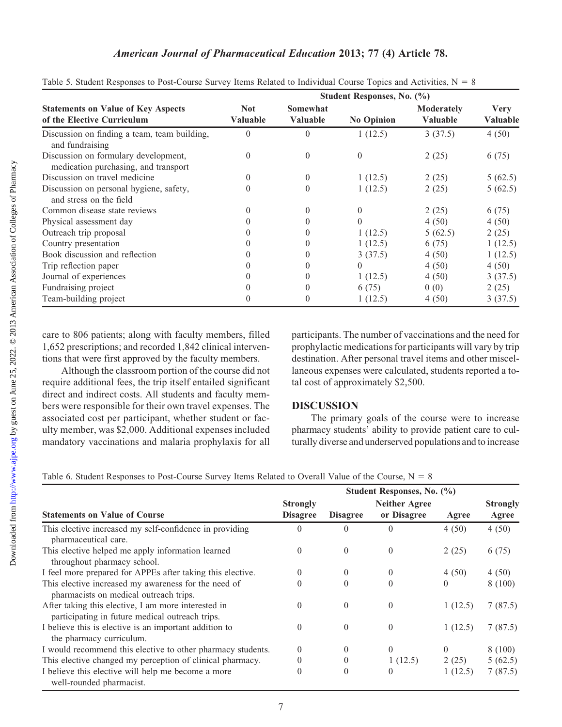## American Journal of Pharmaceutical Education 2013; 77 (4) Article 78.

|                                                                              | Student Responses, No. (%) |                      |                   |                                      |                         |  |
|------------------------------------------------------------------------------|----------------------------|----------------------|-------------------|--------------------------------------|-------------------------|--|
| <b>Statements on Value of Key Aspects</b><br>of the Elective Curriculum      | <b>Not</b><br>Valuable     | Somewhat<br>Valuable | <b>No Opinion</b> | <b>Moderately</b><br><b>Valuable</b> | <b>Very</b><br>Valuable |  |
| Discussion on finding a team, team building,<br>and fundraising              | 0                          | $\Omega$             | 1(12.5)           | 3(37.5)                              | 4(50)                   |  |
| Discussion on formulary development,<br>medication purchasing, and transport | $\theta$                   | $\theta$             | $\theta$          | 2(25)                                | 6(75)                   |  |
| Discussion on travel medicine                                                | $\Omega$                   |                      | 1(12.5)           | 2(25)                                | 5(62.5)                 |  |
| Discussion on personal hygiene, safety,<br>and stress on the field           |                            |                      | 1(12.5)           | 2(25)                                | 5(62.5)                 |  |
| Common disease state reviews                                                 |                            |                      | $\Omega$          | 2(25)                                | 6(75)                   |  |
| Physical assessment day                                                      |                            |                      | $\Omega$          | 4(50)                                | 4(50)                   |  |
| Outreach trip proposal                                                       |                            |                      | 1(12.5)           | 5(62.5)                              | 2(25)                   |  |
| Country presentation                                                         |                            |                      | 1(12.5)           | 6(75)                                | 1(12.5)                 |  |
| Book discussion and reflection                                               |                            |                      | 3(37.5)           | 4(50)                                | 1(12.5)                 |  |
| Trip reflection paper                                                        |                            |                      | $\left( \right)$  | 4(50)                                | 4(50)                   |  |
| Journal of experiences                                                       |                            |                      | 1(12.5)           | 4(50)                                | 3(37.5)                 |  |
| Fundraising project                                                          |                            |                      | 6(75)             | 0(0)                                 | 2(25)                   |  |
| Team-building project                                                        |                            |                      | 1(12.5)           | 4(50)                                | 3(37.5)                 |  |

Table 5. Student Responses to Post-Course Survey Items Related to Individual Course Topics and Activities,  $N = 8$ 

care to 806 patients; along with faculty members, filled 1,652 prescriptions; and recorded 1,842 clinical interventions that were first approved by the faculty members.

Although the classroom portion of the course did not require additional fees, the trip itself entailed significant direct and indirect costs. All students and faculty members were responsible for their own travel expenses. The associated cost per participant, whether student or faculty member, was \$2,000. Additional expenses included mandatory vaccinations and malaria prophylaxis for all

participants. The number of vaccinations and the need for prophylactic medications for participants will vary by trip destination. After personal travel items and other miscellaneous expenses were calculated, students reported a total cost of approximately \$2,500.

### DISCUSSION

The primary goals of the course were to increase pharmacy students' ability to provide patient care to culturally diverse and underserved populations and to increase

|                                                                                                        | Student Responses, No. (%)         |                 |                                     |          |                          |  |
|--------------------------------------------------------------------------------------------------------|------------------------------------|-----------------|-------------------------------------|----------|--------------------------|--|
| <b>Statements on Value of Course</b>                                                                   | <b>Strongly</b><br><b>Disagree</b> | <b>Disagree</b> | <b>Neither Agree</b><br>or Disagree | Agree    | <b>Strongly</b><br>Agree |  |
| This elective increased my self-confidence in providing<br>pharmaceutical care.                        | $\theta$                           | $\theta$        | $\theta$                            | 4(50)    | 4(50)                    |  |
| This elective helped me apply information learned<br>throughout pharmacy school.                       | $\theta$                           | $\overline{0}$  | $\overline{0}$                      | 2(25)    | 6(75)                    |  |
| I feel more prepared for APPEs after taking this elective.                                             | $\mathbf{0}$                       | $\mathbf{0}$    | $\theta$                            | 4(50)    | 4(50)                    |  |
| This elective increased my awareness for the need of<br>pharmacists on medical outreach trips.         | $\theta$                           | $\theta$        | $\theta$                            | 0        | 8(100)                   |  |
| After taking this elective, I am more interested in<br>participating in future medical outreach trips. | $\theta$                           | $\theta$        | $\mathbf{0}$                        | 1(12.5)  | 7(87.5)                  |  |
| I believe this is elective is an important addition to<br>the pharmacy curriculum.                     | $\theta$                           | $\theta$        | $\mathbf{0}$                        | 1(12.5)  | 7(87.5)                  |  |
| I would recommend this elective to other pharmacy students.                                            | $\mathbf{0}$                       | $\overline{0}$  | $\mathbf{0}$                        | $\theta$ | 8(100)                   |  |
| This elective changed my perception of clinical pharmacy.                                              | $\theta$                           | $\theta$        | 1(12.5)                             | 2(25)    | 5(62.5)                  |  |
| I believe this elective will help me become a more<br>well-rounded pharmacist.                         | $\Omega$                           | $\mathbf{0}$    | $\theta$                            | 1(12.5)  | 7(87.5)                  |  |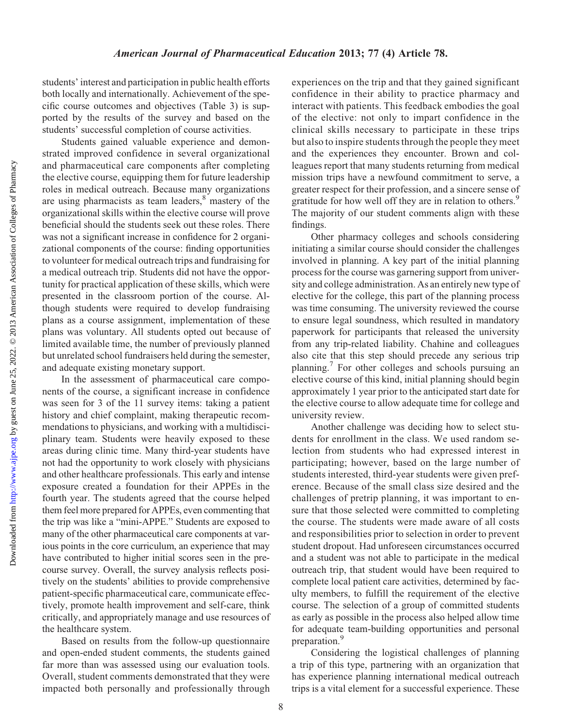students' interest and participation in public health efforts both locally and internationally. Achievement of the specific course outcomes and objectives (Table 3) is supported by the results of the survey and based on the students' successful completion of course activities.

Students gained valuable experience and demonstrated improved confidence in several organizational and pharmaceutical care components after completing the elective course, equipping them for future leadership roles in medical outreach. Because many organizations are using pharmacists as team leaders, $<sup>8</sup>$  mastery of the</sup> organizational skills within the elective course will prove beneficial should the students seek out these roles. There was not a significant increase in confidence for 2 organizational components of the course: finding opportunities to volunteer for medical outreach trips and fundraising for a medical outreach trip. Students did not have the opportunity for practical application of these skills, which were presented in the classroom portion of the course. Although students were required to develop fundraising plans as a course assignment, implementation of these plans was voluntary. All students opted out because of limited available time, the number of previously planned but unrelated school fundraisers held during the semester, and adequate existing monetary support.

In the assessment of pharmaceutical care components of the course, a significant increase in confidence was seen for 3 of the 11 survey items: taking a patient history and chief complaint, making therapeutic recommendations to physicians, and working with a multidisciplinary team. Students were heavily exposed to these areas during clinic time. Many third-year students have not had the opportunity to work closely with physicians and other healthcare professionals. This early and intense exposure created a foundation for their APPEs in the fourth year. The students agreed that the course helped them feel more prepared for APPEs, even commenting that the trip was like a "mini-APPE." Students are exposed to many of the other pharmaceutical care components at various points in the core curriculum, an experience that may have contributed to higher initial scores seen in the precourse survey. Overall, the survey analysis reflects positively on the students' abilities to provide comprehensive patient-specific pharmaceutical care, communicate effectively, promote health improvement and self-care, think critically, and appropriately manage and use resources of the healthcare system.

Based on results from the follow-up questionnaire and open-ended student comments, the students gained far more than was assessed using our evaluation tools. Overall, student comments demonstrated that they were impacted both personally and professionally through

experiences on the trip and that they gained significant confidence in their ability to practice pharmacy and interact with patients. This feedback embodies the goal of the elective: not only to impart confidence in the clinical skills necessary to participate in these trips but also to inspire students through the people they meet and the experiences they encounter. Brown and colleagues report that many students returning from medical mission trips have a newfound commitment to serve, a greater respect for their profession, and a sincere sense of gratitude for how well off they are in relation to others.<sup>9</sup> The majority of our student comments align with these findings.

Other pharmacy colleges and schools considering initiating a similar course should consider the challenges involved in planning. A key part of the initial planning process for the course was garnering support from university and college administration. As an entirely new type of elective for the college, this part of the planning process was time consuming. The university reviewed the course to ensure legal soundness, which resulted in mandatory paperwork for participants that released the university from any trip-related liability. Chahine and colleagues also cite that this step should precede any serious trip planning.7 For other colleges and schools pursuing an elective course of this kind, initial planning should begin approximately 1 year prior to the anticipated start date for the elective course to allow adequate time for college and university review.

Another challenge was deciding how to select students for enrollment in the class. We used random selection from students who had expressed interest in participating; however, based on the large number of students interested, third-year students were given preference. Because of the small class size desired and the challenges of pretrip planning, it was important to ensure that those selected were committed to completing the course. The students were made aware of all costs and responsibilities prior to selection in order to prevent student dropout. Had unforeseen circumstances occurred and a student was not able to participate in the medical outreach trip, that student would have been required to complete local patient care activities, determined by faculty members, to fulfill the requirement of the elective course. The selection of a group of committed students as early as possible in the process also helped allow time for adequate team-building opportunities and personal preparation.<sup>9</sup>

Considering the logistical challenges of planning a trip of this type, partnering with an organization that has experience planning international medical outreach trips is a vital element for a successful experience. These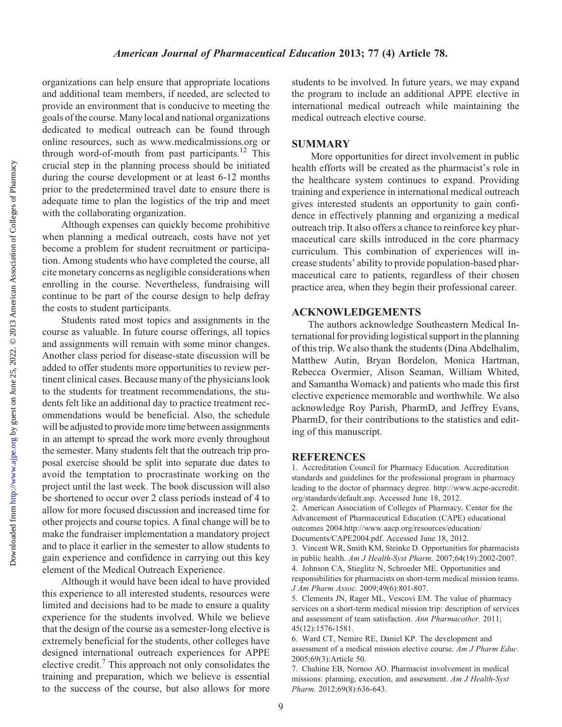### American Journal of Pharmaceutical Education 2013; 77 (4) Article 78.

organizations can help ensure that appropriate locations and additional team members, if needed, are selected to provide an environment that is conducive to meeting the goals of the course. Many local and national organizations dedicated to medical outreach can be found through online resources, such as www.medicalmissions.org or through word-of-mouth from past participants.<sup>12</sup> This crucial step in the planning process should be initiated during the course development or at least 6-12 months prior to the predetermined travel date to ensure there is adequate time to plan the logistics of the trip and meet with the collaborating organization.

Although expenses can quickly become prohibitive when planning a medical outreach, costs have not yet become a problem for student recruitment or participation. Among students who have completed the course, all cite monetary concerns as negligible considerations when enrolling in the course. Nevertheless, fundraising will continue to be part of the course design to help defray the costs to student participants.

Students rated most topics and assignments in the course as valuable. In future course offerings, all topics and assignments will remain with some minor changes. Another class period for disease-state discussion will be added to offer students more opportunities to review pertinent clinical cases. Because many of the physicians look to the students for treatment recommendations, the students felt like an additional day to practice treatment recommendations would be beneficial. Also, the schedule will be adjusted to provide more time between assignments in an attempt to spread the work more evenly throughout the semester. Many students felt that the outreach trip proposal exercise should be split into separate due dates to avoid the temptation to procrastinate working on the project until the last week. The book discussion will also be shortened to occur over 2 class periods instead of 4 to allow for more focused discussion and increased time for other projects and course topics. A final change will be to make the fundraiser implementation a mandatory project and to place it earlier in the semester to allow students to gain experience and confidence in carrying out this key element of the Medical Outreach Experience.

Although it would have been ideal to have provided this experience to all interested students, resources were limited and decisions had to be made to ensure a quality experience for the students involved. While we believe that the design of the course as a semester-long elective is extremely beneficial for the students, other colleges have designed international outreach experiences for APPE elective credit.7 This approach not only consolidates the training and preparation, which we believe is essential to the success of the course, but also allows for more students to be involved. In future years, we may expand the program to include an additional APPE elective in international medical outreach while maintaining the medical outreach elective course.

#### SUMMARY

More opportunities for direct involvement in public health efforts will be created as the pharmacist's role in the healthcare system continues to expand. Providing training and experience in international medical outreach gives interested students an opportunity to gain confidence in effectively planning and organizing a medical outreach trip. It also offers a chance to reinforce key pharmaceutical care skills introduced in the core pharmacy curriculum. This combination of experiences will increase students' ability to provide population-based pharmaceutical care to patients, regardless of their chosen practice area, when they begin their professional career.

#### ACKNOWLEDGEMENTS

The authors acknowledge Southeastern Medical International for providing logistical support in the planning of this trip. We also thank the students (Dina Abdelhalim, Matthew Autin, Bryan Bordelon, Monica Hartman, Rebecca Overmier, Alison Seaman, William Whited, and Samantha Womack) and patients who made this first elective experience memorable and worthwhile. We also acknowledge Roy Parish, PharmD, and Jeffrey Evans, PharmD, for their contributions to the statistics and editing of this manuscript.

#### **REFERENCES**

1. Accreditation Council for Pharmacy Education. Accreditation standards and guidelines for the professional program in pharmacy leading to the doctor of pharmacy degree. http://www.acpe-accredit. org/standards/default.asp. Accessed June 18, 2012.

2. American Association of Colleges of Pharmacy. Center for the Advancement of Pharmaceutical Education (CAPE) educational outcomes 2004.http://www.aacp.org/resources/education/ Documents/CAPE2004.pdf. Accessed June 18, 2012.

3. Vincent WR, Smith KM, Steinke D. Opportunities for pharmacists in public health. Am J Health-Syst Pharm. 2007;64(19):2002-2007. 4. Johnson CA, Stieglitz N, Schroeder ME. Opportunities and responsibilities for pharmacists on short-term medical mission teams. J Am Pharm Assoc. 2009;49(6):801-807.

5. Clements JN, Rager ML, Vescovi EM. The value of pharmacy services on a short-term medical mission trip: description of services and assessment of team satisfaction. Ann Pharmacother. 2011; 45(12):1576-1581.

6. Ward CT, Nemire RE, Daniel KP. The development and assessment of a medical mission elective course. Am J Pharm Educ. 2005;69(3):Article 50.

7. Chahine EB, Nornoo AO. Pharmacist involvement in medical missions: planning, execution, and assessment. Am J Health-Syst Pharm. 2012;69(8):636-643.